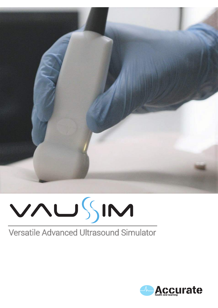

# VAUSIM

# Versatile Advanced Ultrasound Simulator

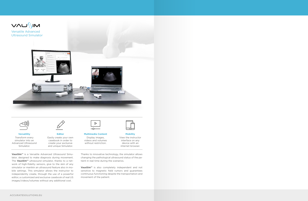VAUSIM

Versatile Advanced Ultrasound Simulator





**Versatility** Transform every simulator into an Advanced Ultrasound Simulator.



**Editor** Easily create your own casebook in order to create your exclusive and unique Simulator.



**Multimedia Content** Display images, videos and volumes without restriction.

**Mobility** View the instructor interface on any device with an internet browser.

**VausSim™** is a Versatile Advanced Ultrasound Simulator, designed to make diagnosis during movement. The **VausSim™** ultrasound simulator, thanks to a network of high-fidelity sensors, give to the skin of any simulator or manikin an ultrasound feature also in mobile settings. This simulator allows the instructor to independently create, through the use of a powerful editor, a customized and exclusive casebook of real US images/videos/volumes without any additional cost.

Thanks to innovative technology, the simulator allows changing the pathological ultrasound status of the patient in real time during the scenarios.

**VausSim™** is also completely independent and not sensitive to magnetic field rumors and guarantees continuous functioning despite the transportation and movement of the patient.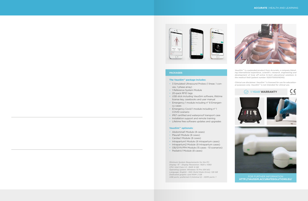



*VausSim™ is a patended product from Accurate, a company blending international experience, scientifi c research, engineering and development of truly eff ective hi-tech educational solutions in the medical field (patent number 102017000016345).*

*Clinical use disclaimer: VausSim™ is licensed for use for educational purposes only. VausSim™ is not intended for clinical use.*

# **PACKAGES**

## **The VausSim™ package includes:**

- 3 Simulated Ultrasound Probes (1 linear, 1 convex, 1 phase array)
- 1 Reference System Module
- 20-pack RFID tags
- USB stick including VausSim software, lifetime license key, casebooks and user manual
- Emergency 1 module including n° 8 Emergency cases
- Emergency Covid 1 module including n° 1 COVID scenario
- IP67 certified and waterproof transport case
- Installation support and remote training
- Lifetime free software updates and upgrades

## **VausSim™ optionals:**

- Abdominal1 Module (8 cases)
- Pleural1 Module (8 cases)
- Cardiac1 Module (8 cases)
- Intrapartum1 Module (8 Intrapartum cases)
- Intrapartum2 Module (8 Intrapartum cases)
- OB/GYN PPH Module (15 cases 10 scenarios)
- Pediatric1 Module (8 cases)

*Minimum System Requirements for the PC: Display: 15' - Display Resolution: 1920 x 1080 CPU: Intel Core i-5 - RAM: 8 GB Operating system: Windows 10 Pro (64 bit) Language: English - SSD (Solid State Drive): 128 GB Dedicated graphic card RAM: 2 GB USB ports: preferred 4 (minimal 2) - HDMI ports: 1*

CE **1 YEAR WARRANTY**





FOR FURTHER INFORMATION **HTTP://VAUSSIM.ACCURATESOLUTIONS.EU/**